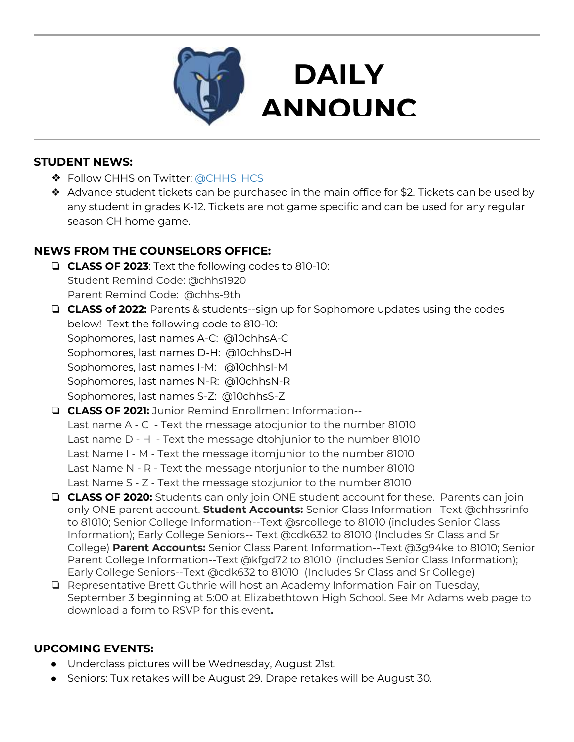

### **STUDENT NEWS:**

- ❖ Follow CHHS on Twitter: [@CHHS\\_HCS](https://twitter.com/CHHS_HCS)
- ❖ Advance student tickets can be purchased in the main office for \$2. Tickets can be used by any student in grades K-12. Tickets are not game specific and can be used for any regular season CH home game.

**DAILY** 

**ANNOUNC**

**EMENTS AND STRUCK SERVICES** 

## **NEWS FROM THE COUNSELORS OFFICE:**

- ❏ **CLASS OF 2023**: Text the following codes to 810-10: Student Remind Code: @chhs1920 Parent Remind Code: @chhs-9th
- ❏ **CLASS of 2022:** Parents & students--sign up for Sophomore updates using the codes below! Text the following code to 810-10: Sophomores, last names A-C: @10chhsA-C Sophomores, last names D-H: @10chhsD-H Sophomores, last names I-M: @10chhsI-M Sophomores, last names N-R: @10chhsN-R Sophomores, last names S-Z: @10chhsS-Z
- ❏ **CLASS OF 2021:** Junior Remind Enrollment Information-- Last name A - C - Text the message atocjunior to the number 81010 Last name D - H - Text the message dtohjunior to the number 81010 Last Name I - M - Text the message itomjunior to the number 81010 Last Name N - R - Text the message ntorjunior to the number 81010 Last Name S - Z - Text the message stozjunior to the number 81010
- ❏ **CLASS OF 2020:** Students can only join ONE student account for these. Parents can join only ONE parent account. **Student Accounts:** Senior Class Information--Text @chhssrinfo to 81010; Senior College Information--Text @srcollege to 81010 (includes Senior Class Information); Early College Seniors-- Text @cdk632 to 81010 (Includes Sr Class and Sr College) **Parent Accounts:** Senior Class Parent Information--Text @3g94ke to 81010; Senior Parent College Information--Text @kfgd72 to 81010 (includes Senior Class Information); Early College Seniors--Text @cdk632 to 81010 (Includes Sr Class and Sr College)
- ❏ Representative Brett Guthrie will host an Academy Information Fair on Tuesday, September 3 beginning at 5:00 at Elizabethtown High School. See Mr Adams web page to download a form to RSVP for this event**.**

### **UPCOMING EVENTS:**

- Underclass pictures will be Wednesday, August 21st.
- Seniors: Tux retakes will be August 29. Drape retakes will be August 30.